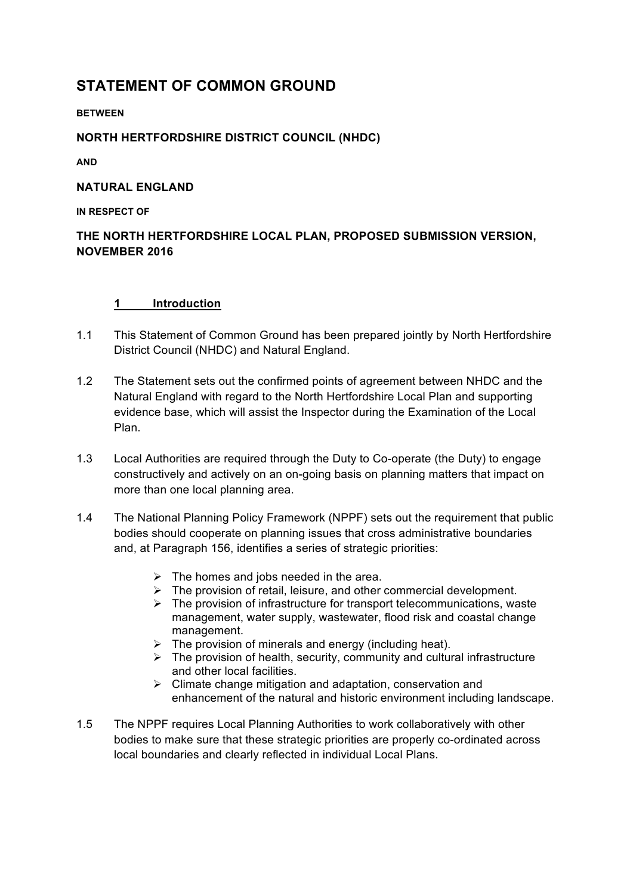# **STATEMENT OF COMMON GROUND**

#### **BETWEEN**

### **NORTH HERTFORDSHIRE DISTRICT COUNCIL (NHDC)**

**AND** 

#### **NATURAL ENGLAND**

**IN RESPECT OF**

# **THE NORTH HERTFORDSHIRE LOCAL PLAN, PROPOSED SUBMISSION VERSION, NOVEMBER 2016**

#### **1 Introduction**

- 1.1 This Statement of Common Ground has been prepared jointly by North Hertfordshire District Council (NHDC) and Natural England.
- 1.2 The Statement sets out the confirmed points of agreement between NHDC and the Natural England with regard to the North Hertfordshire Local Plan and supporting evidence base, which will assist the Inspector during the Examination of the Local Plan.
- 1.3 Local Authorities are required through the Duty to Co-operate (the Duty) to engage constructively and actively on an on-going basis on planning matters that impact on more than one local planning area.
- 1.4 The National Planning Policy Framework (NPPF) sets out the requirement that public bodies should cooperate on planning issues that cross administrative boundaries and, at Paragraph 156, identifies a series of strategic priorities:
	-
	- $\geq$  The homes and jobs needed in the area.<br>  $\geq$  The provision of retail, leisure, and other The provision of retail, leisure, and other commercial development.
	- $\triangleright$  The provision of infrastructure for transport telecommunications, waste management, water supply, wastewater, flood risk and coastal change management.
	- $\triangleright$  The provision of minerals and energy (including heat).
	- $\triangleright$  The provision of health, security, community and cultural infrastructure and other local facilities.
	- $\triangleright$  Climate change mitigation and adaptation, conservation and enhancement of the natural and historic environment including landscape.
- 1.5 The NPPF requires Local Planning Authorities to work collaboratively with other bodies to make sure that these strategic priorities are properly co-ordinated across local boundaries and clearly reflected in individual Local Plans.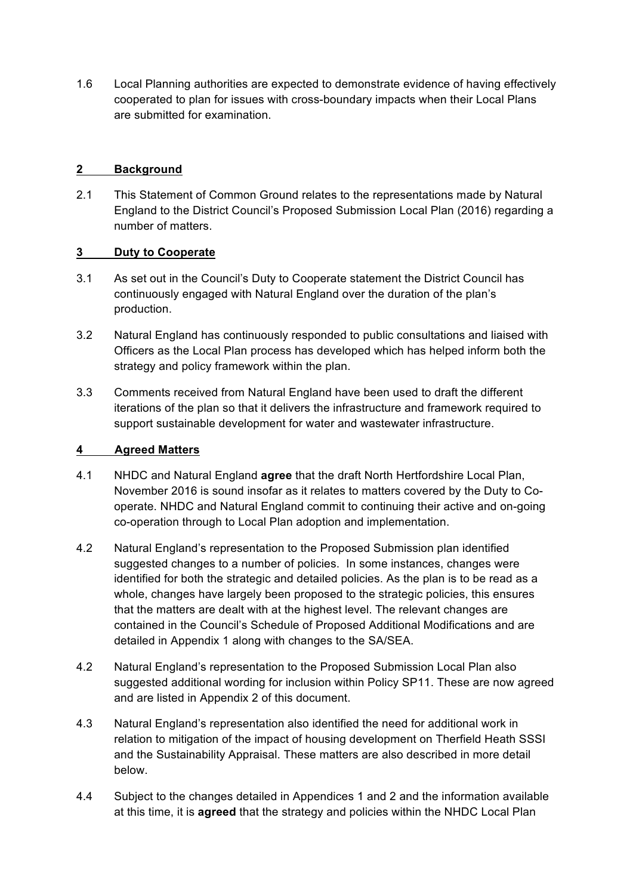1.6 Local Planning authorities are expected to demonstrate evidence of having effectively cooperated to plan for issues with cross-boundary impacts when their Local Plans are submitted for examination.

## **2 Background**

2.1 This Statement of Common Ground relates to the representations made by Natural England to the District Council's Proposed Submission Local Plan (2016) regarding a number of matters.

### **3 Duty to Cooperate**

- 3.1 As set out in the Council's Duty to Cooperate statement the District Council has continuously engaged with Natural England over the duration of the plan's production.
- 3.2 Natural England has continuously responded to public consultations and liaised with Officers as the Local Plan process has developed which has helped inform both the strategy and policy framework within the plan.
- 3.3 Comments received from Natural England have been used to draft the different iterations of the plan so that it delivers the infrastructure and framework required to support sustainable development for water and wastewater infrastructure.

#### **4 Agreed Matters**

- 4.1 NHDC and Natural England **agree** that the draft North Hertfordshire Local Plan, November 2016 is sound insofar as it relates to matters covered by the Duty to Cooperate. NHDC and Natural England commit to continuing their active and on-going co-operation through to Local Plan adoption and implementation.
- 4.2 Natural England's representation to the Proposed Submission plan identified suggested changes to a number of policies. In some instances, changes were identified for both the strategic and detailed policies. As the plan is to be read as a whole, changes have largely been proposed to the strategic policies, this ensures that the matters are dealt with at the highest level. The relevant changes are contained in the Council's Schedule of Proposed Additional Modifications and are detailed in Appendix 1 along with changes to the SA/SEA.
- 4.2 Natural England's representation to the Proposed Submission Local Plan also suggested additional wording for inclusion within Policy SP11. These are now agreed and are listed in Appendix 2 of this document.
- 4.3 Natural England's representation also identified the need for additional work in relation to mitigation of the impact of housing development on Therfield Heath SSSI and the Sustainability Appraisal. These matters are also described in more detail below.
- 4.4 Subject to the changes detailed in Appendices 1 and 2 and the information available at this time, it is **agreed** that the strategy and policies within the NHDC Local Plan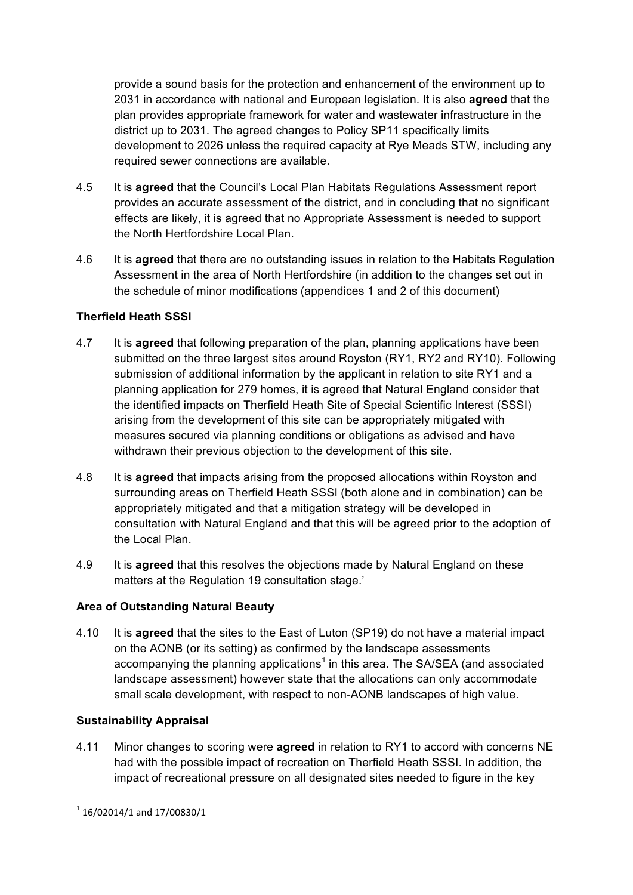provide a sound basis for the protection and enhancement of the environment up to 2031 in accordance with national and European legislation. It is also **agreed** that the plan provides appropriate framework for water and wastewater infrastructure in the district up to 2031. The agreed changes to Policy SP11 specifically limits development to 2026 unless the required capacity at Rye Meads STW, including any required sewer connections are available.

- 4.5 It is **agreed** that the Council's Local Plan Habitats Regulations Assessment report provides an accurate assessment of the district, and in concluding that no significant effects are likely, it is agreed that no Appropriate Assessment is needed to support the North Hertfordshire Local Plan.
- 4.6 It is **agreed** that there are no outstanding issues in relation to the Habitats Regulation Assessment in the area of North Hertfordshire (in addition to the changes set out in the schedule of minor modifications (appendices 1 and 2 of this document)

## **Therfield Heath SSSI**

- 4.7 It is **agreed** that following preparation of the plan, planning applications have been submitted on the three largest sites around Royston (RY1, RY2 and RY10). Following submission of additional information by the applicant in relation to site RY1 and a planning application for 279 homes, it is agreed that Natural England consider that the identified impacts on Therfield Heath Site of Special Scientific Interest (SSSI) arising from the development of this site can be appropriately mitigated with measures secured via planning conditions or obligations as advised and have withdrawn their previous objection to the development of this site.
- 4.8 It is **agreed** that impacts arising from the proposed allocations within Royston and surrounding areas on Therfield Heath SSSI (both alone and in combination) can be appropriately mitigated and that a mitigation strategy will be developed in consultation with Natural England and that this will be agreed prior to the adoption of the Local Plan.
- 4.9 It is **agreed** that this resolves the objections made by Natural England on these matters at the Regulation 19 consultation stage.'

## **Area of Outstanding Natural Beauty**

4.10 It is **agreed** that the sites to the East of Luton (SP19) do not have a material impact on the AONB (or its setting) as confirmed by the landscape assessments accompanying the planning applications<sup>1</sup> in this area. The SA/SEA (and associated landscape assessment) however state that the allocations can only accommodate small scale development, with respect to non-AONB landscapes of high value.

#### **Sustainability Appraisal**

4.11 Minor changes to scoring were **agreed** in relation to RY1 to accord with concerns NE had with the possible impact of recreation on Therfield Heath SSSI. In addition, the impact of recreational pressure on all designated sites needed to figure in the key

 

 $^{1}$  16/02014/1 and 17/00830/1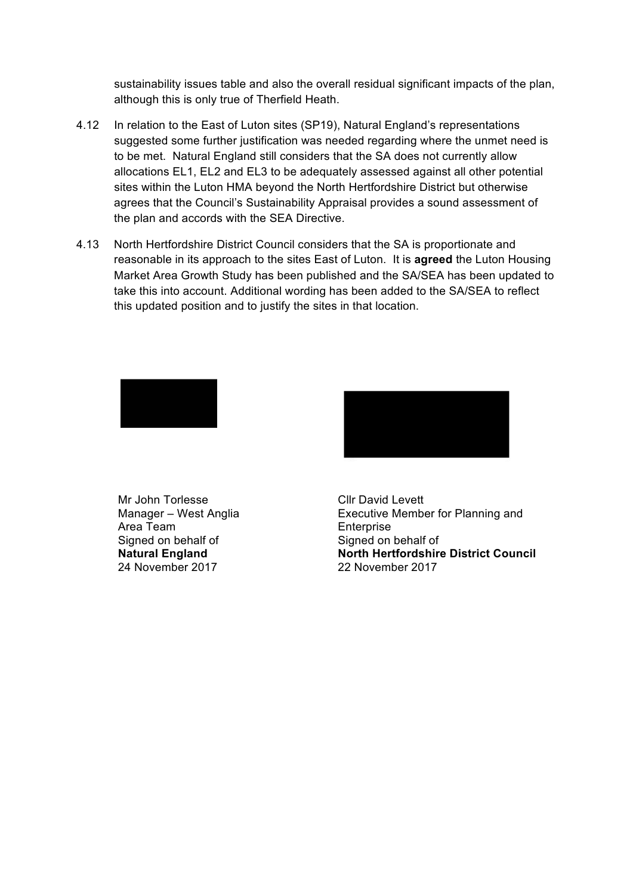sustainability issues table and also the overall residual significant impacts of the plan, although this is only true of Therfield Heath.

- 4.12 In relation to the East of Luton sites (SP19), Natural England's representations suggested some further justification was needed regarding where the unmet need is to be met. Natural England still considers that the SA does not currently allow allocations EL1, EL2 and EL3 to be adequately assessed against all other potential sites within the Luton HMA beyond the North Hertfordshire District but otherwise agrees that the Council's Sustainability Appraisal provides a sound assessment of the plan and accords with the SEA Directive.
- 4.13 North Hertfordshire District Council considers that the SA is proportionate and reasonable in its approach to the sites East of Luton. It is **agreed** the Luton Housing Market Area Growth Study has been published and the SA/SEA has been updated to take this into account. Additional wording has been added to the SA/SEA to reflect this updated position and to justify the sites in that location.







Executive Member for Planning and Enterprise Signed on behalf of **North Hertfordshire District Council**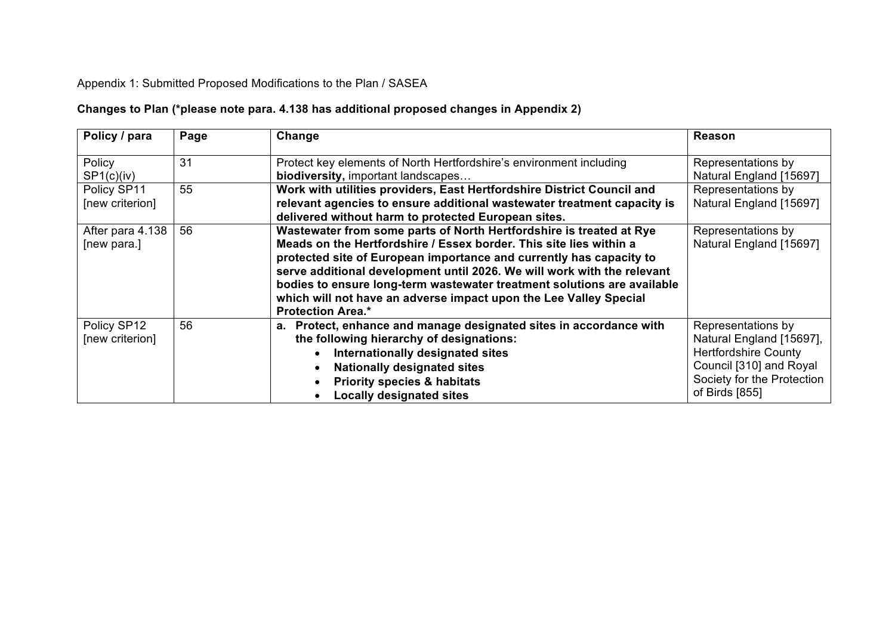# Appendix 1: Submitted Proposed Modifications to the Plan / SASEA

# **Changes to Plan (\*please note para. 4.138 has additional proposed changes in Appendix 2)**

| Policy / para                   | Page | Change                                                                                                                                                                                                                                                                                                                                                                                                                                                                  | <b>Reason</b>                                                                                                                                            |
|---------------------------------|------|-------------------------------------------------------------------------------------------------------------------------------------------------------------------------------------------------------------------------------------------------------------------------------------------------------------------------------------------------------------------------------------------------------------------------------------------------------------------------|----------------------------------------------------------------------------------------------------------------------------------------------------------|
| Policy<br>SP1(c)(iv)            | 31   | Protect key elements of North Hertfordshire's environment including<br>biodiversity, important landscapes                                                                                                                                                                                                                                                                                                                                                               | Representations by<br>Natural England [15697]                                                                                                            |
| Policy SP11<br>[new criterion]  | 55   | Work with utilities providers, East Hertfordshire District Council and<br>relevant agencies to ensure additional wastewater treatment capacity is<br>delivered without harm to protected European sites.                                                                                                                                                                                                                                                                | Representations by<br>Natural England [15697]                                                                                                            |
| After para 4.138<br>[new para.] | 56   | Wastewater from some parts of North Hertfordshire is treated at Rye<br>Meads on the Hertfordshire / Essex border. This site lies within a<br>protected site of European importance and currently has capacity to<br>serve additional development until 2026. We will work with the relevant<br>bodies to ensure long-term wastewater treatment solutions are available<br>which will not have an adverse impact upon the Lee Valley Special<br><b>Protection Area.*</b> | Representations by<br>Natural England [15697]                                                                                                            |
| Policy SP12<br>[new criterion]  | 56   | a. Protect, enhance and manage designated sites in accordance with<br>the following hierarchy of designations:<br>Internationally designated sites<br><b>Nationally designated sites</b><br><b>Priority species &amp; habitats</b><br><b>Locally designated sites</b>                                                                                                                                                                                                   | Representations by<br>Natural England [15697],<br><b>Hertfordshire County</b><br>Council [310] and Royal<br>Society for the Protection<br>of Birds [855] |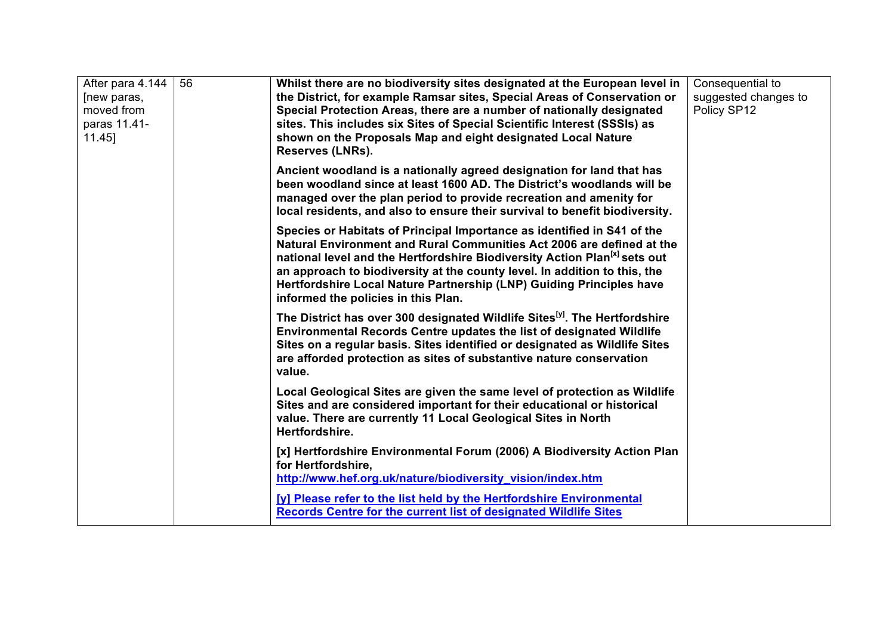| After para 4.144<br>[new paras,<br>moved from<br>paras 11.41-<br>$11.45$ ] | 56 | Whilst there are no biodiversity sites designated at the European level in<br>the District, for example Ramsar sites, Special Areas of Conservation or<br>Special Protection Areas, there are a number of nationally designated<br>sites. This includes six Sites of Special Scientific Interest (SSSIs) as<br>shown on the Proposals Map and eight designated Local Nature<br>Reserves (LNRs).                                       | Consequential to<br>suggested changes to<br>Policy SP12 |
|----------------------------------------------------------------------------|----|---------------------------------------------------------------------------------------------------------------------------------------------------------------------------------------------------------------------------------------------------------------------------------------------------------------------------------------------------------------------------------------------------------------------------------------|---------------------------------------------------------|
|                                                                            |    | Ancient woodland is a nationally agreed designation for land that has<br>been woodland since at least 1600 AD. The District's woodlands will be<br>managed over the plan period to provide recreation and amenity for<br>local residents, and also to ensure their survival to benefit biodiversity.                                                                                                                                  |                                                         |
|                                                                            |    | Species or Habitats of Principal Importance as identified in S41 of the<br>Natural Environment and Rural Communities Act 2006 are defined at the<br>national level and the Hertfordshire Biodiversity Action Plan <sup>[x]</sup> sets out<br>an approach to biodiversity at the county level. In addition to this, the<br>Hertfordshire Local Nature Partnership (LNP) Guiding Principles have<br>informed the policies in this Plan. |                                                         |
|                                                                            |    | The District has over 300 designated Wildlife Sites <sup>[y]</sup> . The Hertfordshire<br><b>Environmental Records Centre updates the list of designated Wildlife</b><br>Sites on a regular basis. Sites identified or designated as Wildlife Sites<br>are afforded protection as sites of substantive nature conservation<br>value.                                                                                                  |                                                         |
|                                                                            |    | Local Geological Sites are given the same level of protection as Wildlife<br>Sites and are considered important for their educational or historical<br>value. There are currently 11 Local Geological Sites in North<br>Hertfordshire.                                                                                                                                                                                                |                                                         |
|                                                                            |    | [x] Hertfordshire Environmental Forum (2006) A Biodiversity Action Plan<br>for Hertfordshire,<br>http://www.hef.org.uk/nature/biodiversity_vision/index.htm                                                                                                                                                                                                                                                                           |                                                         |
|                                                                            |    | [y] Please refer to the list held by the Hertfordshire Environmental<br>Records Centre for the current list of designated Wildlife Sites                                                                                                                                                                                                                                                                                              |                                                         |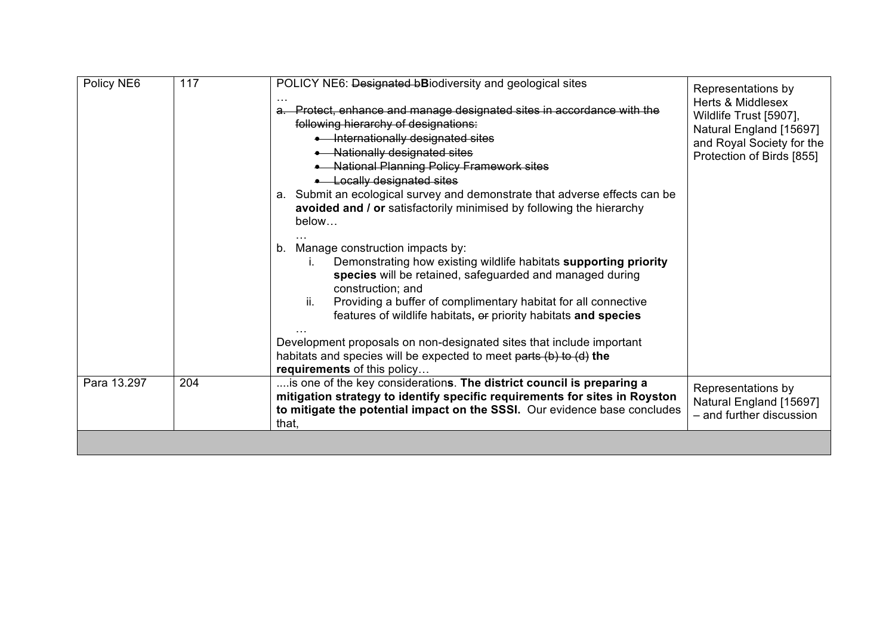| Policy NE6  | 117 | POLICY NE6: Designated bBiodiversity and geological sites<br>a. Protect, enhance and manage designated sites in accordance with the<br>following hierarchy of designations:<br>• Internationally designated sites<br>• Nationally designated sites<br>• National Planning Policy Framework sites<br>• Locally designated sites<br>a. Submit an ecological survey and demonstrate that adverse effects can be<br>avoided and / or satisfactorily minimised by following the hierarchy<br>below<br>Manage construction impacts by:<br>b.<br>Demonstrating how existing wildlife habitats supporting priority<br>Ĺ.<br>species will be retained, safeguarded and managed during<br>construction; and<br>ii.<br>Providing a buffer of complimentary habitat for all connective<br>features of wildlife habitats, or priority habitats and species<br>Development proposals on non-designated sites that include important<br>habitats and species will be expected to meet parts (b) to (d) the<br>requirements of this policy | Representations by<br><b>Herts &amp; Middlesex</b><br>Wildlife Trust [5907],<br>Natural England [15697]<br>and Royal Society for the<br>Protection of Birds [855] |
|-------------|-----|----------------------------------------------------------------------------------------------------------------------------------------------------------------------------------------------------------------------------------------------------------------------------------------------------------------------------------------------------------------------------------------------------------------------------------------------------------------------------------------------------------------------------------------------------------------------------------------------------------------------------------------------------------------------------------------------------------------------------------------------------------------------------------------------------------------------------------------------------------------------------------------------------------------------------------------------------------------------------------------------------------------------------|-------------------------------------------------------------------------------------------------------------------------------------------------------------------|
| Para 13.297 | 204 | is one of the key considerations. The district council is preparing a<br>mitigation strategy to identify specific requirements for sites in Royston<br>to mitigate the potential impact on the SSSI. Our evidence base concludes<br>that,                                                                                                                                                                                                                                                                                                                                                                                                                                                                                                                                                                                                                                                                                                                                                                                  | Representations by<br>Natural England [15697]<br>- and further discussion                                                                                         |
|             |     |                                                                                                                                                                                                                                                                                                                                                                                                                                                                                                                                                                                                                                                                                                                                                                                                                                                                                                                                                                                                                            |                                                                                                                                                                   |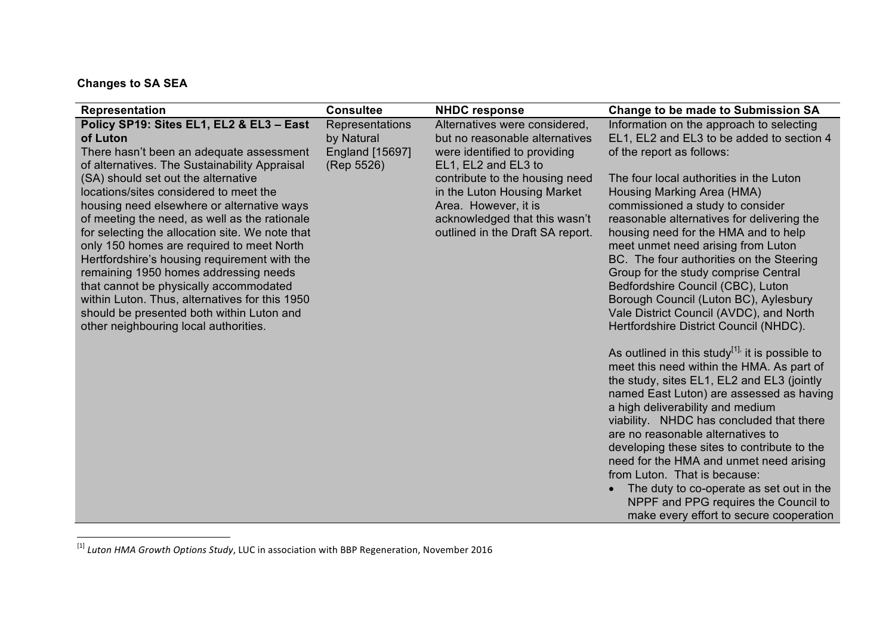# **Changes to SA SEA**

<u> 1989 - Johann Barn, mars ann an t-Amhain an t-Amhain an t-Amhain an t-Amhain an t-Amhain an t-Amhain an t-Amh</u>

| Representation                                                                                                                                                                                                                                                                                                                                                                                                                                                          | <b>Consultee</b>                                                      | <b>NHDC response</b>                                                                                                                                     | <b>Change to be made to Submission SA</b>                                                                                                                                                                                                                                                                                                                                                                                                                                                                                                                                                                            |
|-------------------------------------------------------------------------------------------------------------------------------------------------------------------------------------------------------------------------------------------------------------------------------------------------------------------------------------------------------------------------------------------------------------------------------------------------------------------------|-----------------------------------------------------------------------|----------------------------------------------------------------------------------------------------------------------------------------------------------|----------------------------------------------------------------------------------------------------------------------------------------------------------------------------------------------------------------------------------------------------------------------------------------------------------------------------------------------------------------------------------------------------------------------------------------------------------------------------------------------------------------------------------------------------------------------------------------------------------------------|
| Policy SP19: Sites EL1, EL2 & EL3 - East<br>of Luton<br>There hasn't been an adequate assessment<br>of alternatives. The Sustainability Appraisal<br>(SA) should set out the alternative                                                                                                                                                                                                                                                                                | Representations<br>by Natural<br><b>England [15697]</b><br>(Rep 5526) | Alternatives were considered,<br>but no reasonable alternatives<br>were identified to providing<br>EL1, EL2 and EL3 to<br>contribute to the housing need | Information on the approach to selecting<br>EL1, EL2 and EL3 to be added to section 4<br>of the report as follows:<br>The four local authorities in the Luton                                                                                                                                                                                                                                                                                                                                                                                                                                                        |
| locations/sites considered to meet the<br>housing need elsewhere or alternative ways<br>of meeting the need, as well as the rationale<br>for selecting the allocation site. We note that<br>only 150 homes are required to meet North<br>Hertfordshire's housing requirement with the<br>remaining 1950 homes addressing needs<br>that cannot be physically accommodated<br>within Luton. Thus, alternatives for this 1950<br>should be presented both within Luton and |                                                                       | in the Luton Housing Market<br>Area. However, it is<br>acknowledged that this wasn't<br>outlined in the Draft SA report.                                 | Housing Marking Area (HMA)<br>commissioned a study to consider<br>reasonable alternatives for delivering the<br>housing need for the HMA and to help<br>meet unmet need arising from Luton<br>BC. The four authorities on the Steering<br>Group for the study comprise Central<br>Bedfordshire Council (CBC), Luton<br>Borough Council (Luton BC), Aylesbury<br>Vale District Council (AVDC), and North                                                                                                                                                                                                              |
| other neighbouring local authorities.                                                                                                                                                                                                                                                                                                                                                                                                                                   |                                                                       |                                                                                                                                                          | Hertfordshire District Council (NHDC).<br>As outlined in this study $1^{1}$ , it is possible to<br>meet this need within the HMA. As part of<br>the study, sites EL1, EL2 and EL3 (jointly<br>named East Luton) are assessed as having<br>a high deliverability and medium<br>viability. NHDC has concluded that there<br>are no reasonable alternatives to<br>developing these sites to contribute to the<br>need for the HMA and unmet need arising<br>from Luton. That is because:<br>The duty to co-operate as set out in the<br>NPPF and PPG requires the Council to<br>make every effort to secure cooperation |

<sup>&</sup>lt;sup>[1]</sup> Luton HMA Growth Options Study, LUC in association with BBP Regeneration, November 2016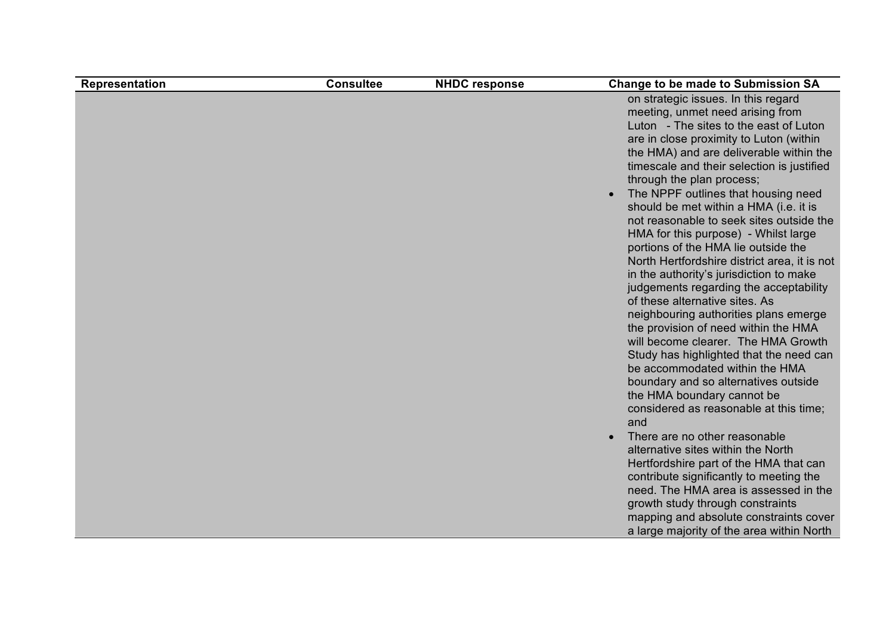| Representation | <b>Consultee</b> | <b>NHDC response</b> | <b>Change to be made to Submission SA</b>                                                                                                                                                                                                                                                                                                                                                                                                                                                                                                                                                                                                                                                                                                                                                                                                                                                                                                                                                                                                                                                                                                                                                                                                                                                                                         |
|----------------|------------------|----------------------|-----------------------------------------------------------------------------------------------------------------------------------------------------------------------------------------------------------------------------------------------------------------------------------------------------------------------------------------------------------------------------------------------------------------------------------------------------------------------------------------------------------------------------------------------------------------------------------------------------------------------------------------------------------------------------------------------------------------------------------------------------------------------------------------------------------------------------------------------------------------------------------------------------------------------------------------------------------------------------------------------------------------------------------------------------------------------------------------------------------------------------------------------------------------------------------------------------------------------------------------------------------------------------------------------------------------------------------|
|                |                  |                      | on strategic issues. In this regard<br>meeting, unmet need arising from<br>Luton - The sites to the east of Luton<br>are in close proximity to Luton (within<br>the HMA) and are deliverable within the<br>timescale and their selection is justified<br>through the plan process;<br>The NPPF outlines that housing need<br>should be met within a HMA (i.e. it is<br>not reasonable to seek sites outside the<br>HMA for this purpose) - Whilst large<br>portions of the HMA lie outside the<br>North Hertfordshire district area, it is not<br>in the authority's jurisdiction to make<br>judgements regarding the acceptability<br>of these alternative sites. As<br>neighbouring authorities plans emerge<br>the provision of need within the HMA<br>will become clearer. The HMA Growth<br>Study has highlighted that the need can<br>be accommodated within the HMA<br>boundary and so alternatives outside<br>the HMA boundary cannot be<br>considered as reasonable at this time;<br>and<br>There are no other reasonable<br>alternative sites within the North<br>Hertfordshire part of the HMA that can<br>contribute significantly to meeting the<br>need. The HMA area is assessed in the<br>growth study through constraints<br>mapping and absolute constraints cover<br>a large majority of the area within North |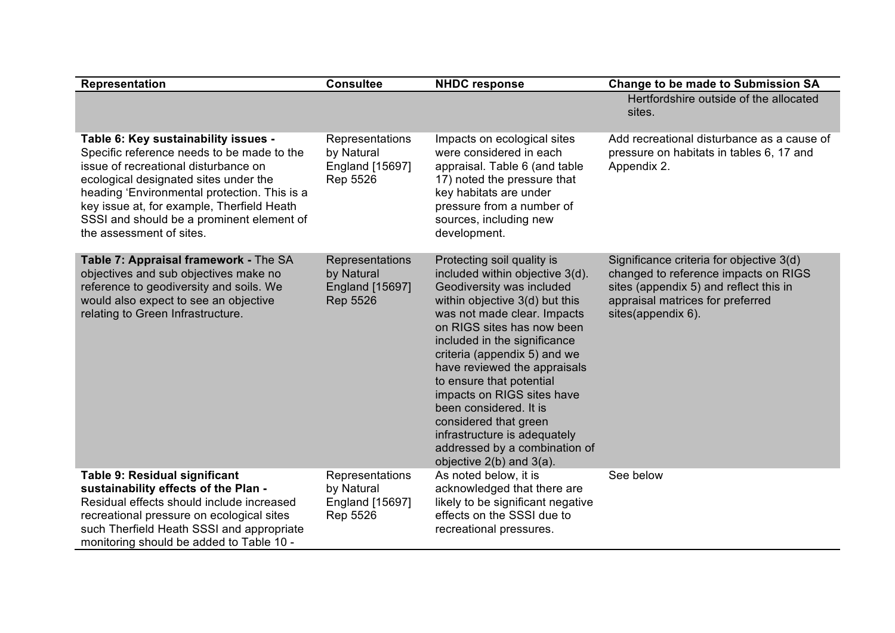| <b>Representation</b>                                                                                                                                                                                                                                                                                                                      | <b>Consultee</b>                                                           | <b>NHDC response</b>                                                                                                                                                                                                                                                                                                                                                                                                                                                                                     | <b>Change to be made to Submission SA</b>                                                                                                                                            |
|--------------------------------------------------------------------------------------------------------------------------------------------------------------------------------------------------------------------------------------------------------------------------------------------------------------------------------------------|----------------------------------------------------------------------------|----------------------------------------------------------------------------------------------------------------------------------------------------------------------------------------------------------------------------------------------------------------------------------------------------------------------------------------------------------------------------------------------------------------------------------------------------------------------------------------------------------|--------------------------------------------------------------------------------------------------------------------------------------------------------------------------------------|
|                                                                                                                                                                                                                                                                                                                                            |                                                                            |                                                                                                                                                                                                                                                                                                                                                                                                                                                                                                          | Hertfordshire outside of the allocated<br>sites.                                                                                                                                     |
| Table 6: Key sustainability issues -<br>Specific reference needs to be made to the<br>issue of recreational disturbance on<br>ecological designated sites under the<br>heading 'Environmental protection. This is a<br>key issue at, for example, Therfield Heath<br>SSSI and should be a prominent element of<br>the assessment of sites. | Representations<br>by Natural<br>England [15697]<br>Rep 5526               | Impacts on ecological sites<br>were considered in each<br>appraisal. Table 6 (and table<br>17) noted the pressure that<br>key habitats are under<br>pressure from a number of<br>sources, including new<br>development.                                                                                                                                                                                                                                                                                  | Add recreational disturbance as a cause of<br>pressure on habitats in tables 6, 17 and<br>Appendix 2.                                                                                |
| Table 7: Appraisal framework - The SA<br>objectives and sub objectives make no<br>reference to geodiversity and soils. We<br>would also expect to see an objective<br>relating to Green Infrastructure.                                                                                                                                    | Representations<br>by Natural<br><b>England [15697]</b><br><b>Rep 5526</b> | Protecting soil quality is<br>included within objective 3(d).<br>Geodiversity was included<br>within objective 3(d) but this<br>was not made clear. Impacts<br>on RIGS sites has now been<br>included in the significance<br>criteria (appendix 5) and we<br>have reviewed the appraisals<br>to ensure that potential<br>impacts on RIGS sites have<br>been considered. It is<br>considered that green<br>infrastructure is adequately<br>addressed by a combination of<br>objective $2(b)$ and $3(a)$ . | Significance criteria for objective 3(d)<br>changed to reference impacts on RIGS<br>sites (appendix 5) and reflect this in<br>appraisal matrices for preferred<br>sites(appendix 6). |
| Table 9: Residual significant<br>sustainability effects of the Plan -<br>Residual effects should include increased<br>recreational pressure on ecological sites<br>such Therfield Heath SSSI and appropriate<br>monitoring should be added to Table 10 -                                                                                   | Representations<br>by Natural<br>England [15697]<br>Rep 5526               | As noted below, it is<br>acknowledged that there are<br>likely to be significant negative<br>effects on the SSSI due to<br>recreational pressures.                                                                                                                                                                                                                                                                                                                                                       | See below                                                                                                                                                                            |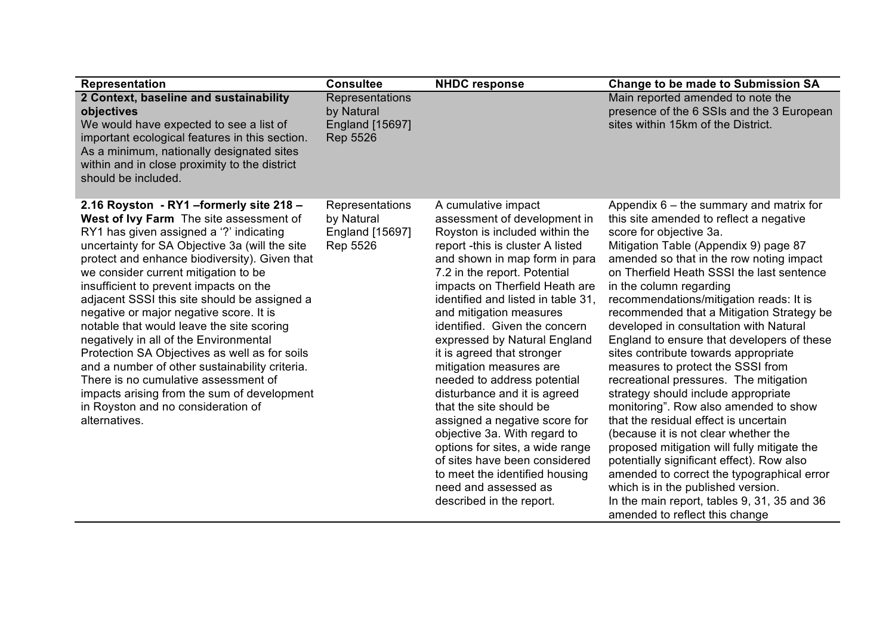| Representation                                                                                                                                                                                                                                                                                                                                                                                                                                                                                                                                                                                                                                                                                                                                         | <b>Consultee</b>                                                           | <b>NHDC response</b>                                                                                                                                                                                                                                                                                                                                                                                                                                                                                                                                                                                                                                                                                                                         | <b>Change to be made to Submission SA</b>                                                                                                                                                                                                                                                                                                                                                                                                                                                                                                                                                                                                                                                                                                                                                                                                                                                                                                                                                                             |
|--------------------------------------------------------------------------------------------------------------------------------------------------------------------------------------------------------------------------------------------------------------------------------------------------------------------------------------------------------------------------------------------------------------------------------------------------------------------------------------------------------------------------------------------------------------------------------------------------------------------------------------------------------------------------------------------------------------------------------------------------------|----------------------------------------------------------------------------|----------------------------------------------------------------------------------------------------------------------------------------------------------------------------------------------------------------------------------------------------------------------------------------------------------------------------------------------------------------------------------------------------------------------------------------------------------------------------------------------------------------------------------------------------------------------------------------------------------------------------------------------------------------------------------------------------------------------------------------------|-----------------------------------------------------------------------------------------------------------------------------------------------------------------------------------------------------------------------------------------------------------------------------------------------------------------------------------------------------------------------------------------------------------------------------------------------------------------------------------------------------------------------------------------------------------------------------------------------------------------------------------------------------------------------------------------------------------------------------------------------------------------------------------------------------------------------------------------------------------------------------------------------------------------------------------------------------------------------------------------------------------------------|
| 2 Context, baseline and sustainability<br>objectives<br>We would have expected to see a list of<br>important ecological features in this section.<br>As a minimum, nationally designated sites<br>within and in close proximity to the district<br>should be included.                                                                                                                                                                                                                                                                                                                                                                                                                                                                                 | Representations<br>by Natural<br><b>England</b> [15697]<br><b>Rep 5526</b> |                                                                                                                                                                                                                                                                                                                                                                                                                                                                                                                                                                                                                                                                                                                                              | Main reported amended to note the<br>presence of the 6 SSIs and the 3 European<br>sites within 15km of the District.                                                                                                                                                                                                                                                                                                                                                                                                                                                                                                                                                                                                                                                                                                                                                                                                                                                                                                  |
| 2.16 Royston - RY1 - formerly site 218 -<br>West of Ivy Farm The site assessment of<br>RY1 has given assigned a '?' indicating<br>uncertainty for SA Objective 3a (will the site<br>protect and enhance biodiversity). Given that<br>we consider current mitigation to be<br>insufficient to prevent impacts on the<br>adjacent SSSI this site should be assigned a<br>negative or major negative score. It is<br>notable that would leave the site scoring<br>negatively in all of the Environmental<br>Protection SA Objectives as well as for soils<br>and a number of other sustainability criteria.<br>There is no cumulative assessment of<br>impacts arising from the sum of development<br>in Royston and no consideration of<br>alternatives. | Representations<br>by Natural<br>England [15697]<br>Rep 5526               | A cumulative impact<br>assessment of development in<br>Royston is included within the<br>report -this is cluster A listed<br>and shown in map form in para<br>7.2 in the report. Potential<br>impacts on Therfield Heath are<br>identified and listed in table 31,<br>and mitigation measures<br>identified. Given the concern<br>expressed by Natural England<br>it is agreed that stronger<br>mitigation measures are<br>needed to address potential<br>disturbance and it is agreed<br>that the site should be<br>assigned a negative score for<br>objective 3a. With regard to<br>options for sites, a wide range<br>of sites have been considered<br>to meet the identified housing<br>need and assessed as<br>described in the report. | Appendix $6 -$ the summary and matrix for<br>this site amended to reflect a negative<br>score for objective 3a.<br>Mitigation Table (Appendix 9) page 87<br>amended so that in the row noting impact<br>on Therfield Heath SSSI the last sentence<br>in the column regarding<br>recommendations/mitigation reads: It is<br>recommended that a Mitigation Strategy be<br>developed in consultation with Natural<br>England to ensure that developers of these<br>sites contribute towards appropriate<br>measures to protect the SSSI from<br>recreational pressures. The mitigation<br>strategy should include appropriate<br>monitoring". Row also amended to show<br>that the residual effect is uncertain<br>(because it is not clear whether the<br>proposed mitigation will fully mitigate the<br>potentially significant effect). Row also<br>amended to correct the typographical error<br>which is in the published version.<br>In the main report, tables 9, 31, 35 and 36<br>amended to reflect this change |